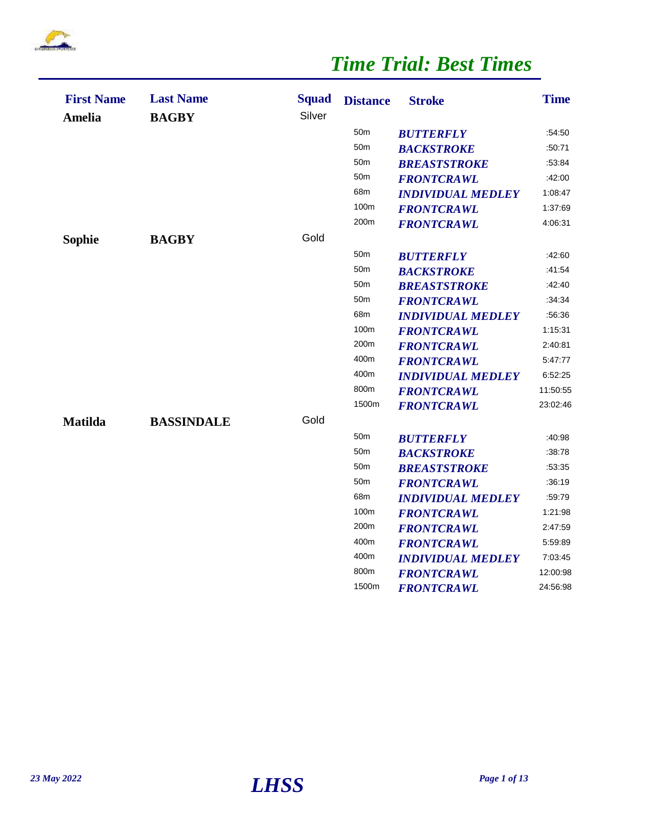

| <b>First Name</b><br><b>Amelia</b> | <b>Last Name</b><br><b>BAGBY</b> | <b>Squad</b><br>Silver | <b>Distance</b> | <b>Stroke</b>            | <b>Time</b> |
|------------------------------------|----------------------------------|------------------------|-----------------|--------------------------|-------------|
|                                    |                                  |                        | 50 <sub>m</sub> | <b>BUTTERFLY</b>         | :54:50      |
|                                    |                                  |                        | 50 <sub>m</sub> | <b>BACKSTROKE</b>        | :50:71      |
|                                    |                                  |                        | 50 <sub>m</sub> | <b>BREASTSTROKE</b>      | :53:84      |
|                                    |                                  |                        | 50 <sub>m</sub> | <b>FRONTCRAWL</b>        | :42:00      |
|                                    |                                  |                        | 68m             | <b>INDIVIDUAL MEDLEY</b> | 1:08:47     |
|                                    |                                  |                        | 100m            | <b>FRONTCRAWL</b>        | 1:37:69     |
|                                    |                                  |                        | 200m            | <b>FRONTCRAWL</b>        | 4:06:31     |
| Sophie                             | <b>BAGBY</b>                     | Gold                   |                 |                          |             |
|                                    |                                  |                        | 50 <sub>m</sub> | <b>BUTTERFLY</b>         | :42:60      |
|                                    |                                  |                        | 50 <sub>m</sub> | <b>BACKSTROKE</b>        | :41.54      |
|                                    |                                  |                        | 50 <sub>m</sub> | <b>BREASTSTROKE</b>      | :42:40      |
|                                    |                                  |                        | 50 <sub>m</sub> | <b>FRONTCRAWL</b>        | :34:34      |
|                                    |                                  |                        | 68m             | <b>INDIVIDUAL MEDLEY</b> | :56:36      |
|                                    |                                  |                        | 100m            | <b>FRONTCRAWL</b>        | 1:15:31     |
|                                    |                                  |                        | 200m            | <b>FRONTCRAWL</b>        | 2:40:81     |
|                                    |                                  |                        | 400m            | <b>FRONTCRAWL</b>        | 5:47.77     |
|                                    |                                  |                        | 400m            | <b>INDIVIDUAL MEDLEY</b> | 6:52:25     |
|                                    |                                  |                        | 800m            | <b>FRONTCRAWL</b>        | 11:50:55    |
|                                    |                                  |                        | 1500m           | <b>FRONTCRAWL</b>        | 23:02:46    |
| <b>Matilda</b>                     | <b>BASSINDALE</b>                | Gold                   |                 |                          |             |
|                                    |                                  |                        | 50 <sub>m</sub> | <b>BUTTERFLY</b>         | :40:98      |
|                                    |                                  |                        | 50 <sub>m</sub> | <b>BACKSTROKE</b>        | :38:78      |
|                                    |                                  |                        | 50 <sub>m</sub> | <b>BREASTSTROKE</b>      | :53:35      |
|                                    |                                  |                        | 50 <sub>m</sub> | <b>FRONTCRAWL</b>        | :36:19      |
|                                    |                                  |                        | 68m             | <b>INDIVIDUAL MEDLEY</b> | :59:79      |
|                                    |                                  |                        | 100m            | <b>FRONTCRAWL</b>        | 1:21:98     |
|                                    |                                  |                        | 200m            | <b>FRONTCRAWL</b>        | 2:47:59     |
|                                    |                                  |                        | 400m            | <b>FRONTCRAWL</b>        | 5.59.89     |
|                                    |                                  |                        | 400m            | <b>INDIVIDUAL MEDLEY</b> | 7:03:45     |
|                                    |                                  |                        | 800m            | <b>FRONTCRAWL</b>        | 12:00:98    |
|                                    |                                  |                        | 1500m           | <b>FRONTCRAWL</b>        | 24:56:98    |
|                                    |                                  |                        |                 |                          |             |

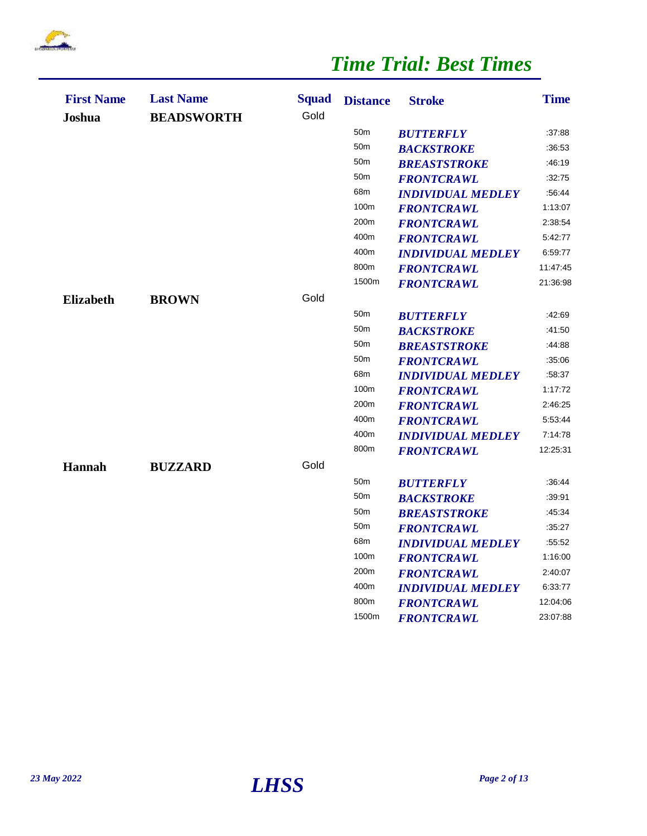

| <b>First Name</b><br>Joshua | <b>Last Name</b><br><b>BEADSWORTH</b> | <b>Squad</b><br>Gold | <b>Distance</b> | <b>Stroke</b>            | <b>Time</b> |
|-----------------------------|---------------------------------------|----------------------|-----------------|--------------------------|-------------|
|                             |                                       |                      | 50 <sub>m</sub> | <b>BUTTERFLY</b>         | :37.88      |
|                             |                                       |                      | 50 <sub>m</sub> | <b>BACKSTROKE</b>        | :36:53      |
|                             |                                       |                      | 50 <sub>m</sub> | <b>BREASTSTROKE</b>      | :46:19      |
|                             |                                       |                      | 50 <sub>m</sub> | <b>FRONTCRAWL</b>        | :32:75      |
|                             |                                       |                      | 68m             | <b>INDIVIDUAL MEDLEY</b> | :56:44      |
|                             |                                       |                      | 100m            | <b>FRONTCRAWL</b>        | 1:13:07     |
|                             |                                       |                      | 200m            | <b>FRONTCRAWL</b>        | 2:38:54     |
|                             |                                       |                      | 400m            | <b>FRONTCRAWL</b>        | 5:42:77     |
|                             |                                       |                      | 400m            | <b>INDIVIDUAL MEDLEY</b> | 6:59:77     |
|                             |                                       |                      | 800m            | <b>FRONTCRAWL</b>        | 11:47:45    |
|                             |                                       |                      | 1500m           | <b>FRONTCRAWL</b>        | 21:36:98    |
| <b>Elizabeth</b>            | <b>BROWN</b>                          | Gold                 |                 |                          |             |
|                             |                                       |                      | 50 <sub>m</sub> | <b>BUTTERFLY</b>         | :42:69      |
|                             |                                       |                      | 50 <sub>m</sub> | <b>BACKSTROKE</b>        | :41:50      |
|                             |                                       |                      | 50 <sub>m</sub> | <b>BREASTSTROKE</b>      | :44:88      |
|                             |                                       |                      | 50 <sub>m</sub> | <b>FRONTCRAWL</b>        | :35:06      |
|                             |                                       |                      | 68m             | <b>INDIVIDUAL MEDLEY</b> | :58:37      |
|                             |                                       |                      | 100m            | <b>FRONTCRAWL</b>        | 1:17:72     |
|                             |                                       |                      | 200m            | <b>FRONTCRAWL</b>        | 2:46:25     |
|                             |                                       |                      | 400m            | <b>FRONTCRAWL</b>        | 5:53:44     |
|                             |                                       |                      | 400m            | <b>INDIVIDUAL MEDLEY</b> | 7:14:78     |
|                             |                                       |                      | 800m            | <b>FRONTCRAWL</b>        | 12:25:31    |
| <b>Hannah</b>               | <b>BUZZARD</b>                        | Gold                 |                 |                          |             |
|                             |                                       |                      | 50 <sub>m</sub> | <b>BUTTERFLY</b>         | :36:44      |
|                             |                                       |                      | 50 <sub>m</sub> | <b>BACKSTROKE</b>        | :39.91      |
|                             |                                       |                      | 50 <sub>m</sub> | <b>BREASTSTROKE</b>      | :45:34      |
|                             |                                       |                      | 50 <sub>m</sub> | <b>FRONTCRAWL</b>        | :35:27      |
|                             |                                       |                      | 68m             | <b>INDIVIDUAL MEDLEY</b> | :55:52      |
|                             |                                       |                      | 100m            | <b>FRONTCRAWL</b>        | 1:16:00     |
|                             |                                       |                      | 200m            | <b>FRONTCRAWL</b>        | 2:40:07     |
|                             |                                       |                      | 400m            | <b>INDIVIDUAL MEDLEY</b> | 6:33:77     |
|                             |                                       |                      | 800m            | <b>FRONTCRAWL</b>        | 12:04:06    |
|                             |                                       |                      | 1500m           | <b>FRONTCRAWL</b>        | 23:07:88    |

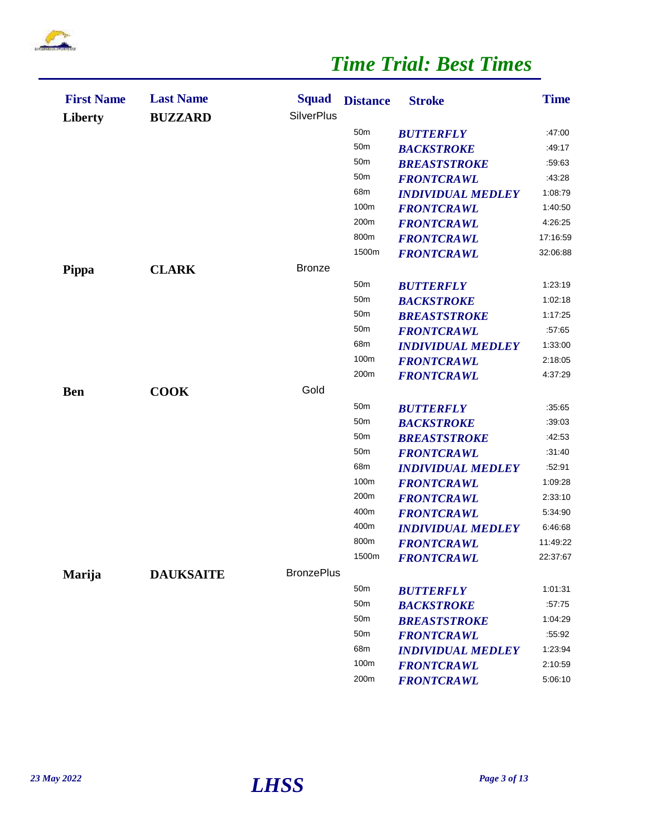

| <b>First Name</b><br><b>Liberty</b> | <b>Last Name</b><br><b>BUZZARD</b> | <b>Squad</b><br><b>SilverPlus</b> | <b>Distance</b> | <b>Stroke</b>            | <b>Time</b> |
|-------------------------------------|------------------------------------|-----------------------------------|-----------------|--------------------------|-------------|
|                                     |                                    |                                   | 50 <sub>m</sub> | <b>BUTTERFLY</b>         | :47:00      |
|                                     |                                    |                                   | 50 <sub>m</sub> | <b>BACKSTROKE</b>        | :49:17      |
|                                     |                                    |                                   | 50 <sub>m</sub> | <b>BREASTSTROKE</b>      | :59:63      |
|                                     |                                    |                                   | 50 <sub>m</sub> | <b>FRONTCRAWL</b>        | :43:28      |
|                                     |                                    |                                   | 68m             | <b>INDIVIDUAL MEDLEY</b> | 1:08:79     |
|                                     |                                    |                                   | 100m            | <b>FRONTCRAWL</b>        | 1:40:50     |
|                                     |                                    |                                   | 200m            | <b>FRONTCRAWL</b>        | 4:26:25     |
|                                     |                                    |                                   | 800m            | <b>FRONTCRAWL</b>        | 17:16:59    |
|                                     |                                    |                                   | 1500m           | <b>FRONTCRAWL</b>        | 32:06:88    |
| <b>Pippa</b>                        | <b>CLARK</b>                       | <b>Bronze</b>                     |                 |                          |             |
|                                     |                                    |                                   | 50 <sub>m</sub> | <b>BUTTERFLY</b>         | 1:23:19     |
|                                     |                                    |                                   | 50 <sub>m</sub> | <b>BACKSTROKE</b>        | 1:02:18     |
|                                     |                                    |                                   | 50 <sub>m</sub> | <b>BREASTSTROKE</b>      | 1:17:25     |
|                                     |                                    |                                   | 50 <sub>m</sub> | <b>FRONTCRAWL</b>        | :57:65      |
|                                     |                                    |                                   | 68m             | <b>INDIVIDUAL MEDLEY</b> | 1:33:00     |
|                                     |                                    |                                   | 100m            | <b>FRONTCRAWL</b>        | 2:18:05     |
|                                     |                                    |                                   | 200m            | <b>FRONTCRAWL</b>        | 4:37:29     |
| <b>Ben</b>                          | <b>COOK</b>                        | Gold                              |                 |                          |             |
|                                     |                                    |                                   | 50 <sub>m</sub> | <b>BUTTERFLY</b>         | :35.65      |
|                                     |                                    |                                   | 50 <sub>m</sub> | <b>BACKSTROKE</b>        | :39:03      |
|                                     |                                    |                                   | 50 <sub>m</sub> | <b>BREASTSTROKE</b>      | :42:53      |
|                                     |                                    |                                   | 50 <sub>m</sub> | <b>FRONTCRAWL</b>        | :31:40      |
|                                     |                                    |                                   | 68m             | <b>INDIVIDUAL MEDLEY</b> | :52:91      |
|                                     |                                    |                                   | 100m            | <b>FRONTCRAWL</b>        | 1:09:28     |
|                                     |                                    |                                   | 200m            | <b>FRONTCRAWL</b>        | 2:33:10     |
|                                     |                                    |                                   | 400m            | <b>FRONTCRAWL</b>        | 5:34:90     |
|                                     |                                    |                                   | 400m            | <b>INDIVIDUAL MEDLEY</b> | 6:46:68     |
|                                     |                                    |                                   | 800m            | <b>FRONTCRAWL</b>        | 11:49:22    |
|                                     |                                    |                                   | 1500m           | <b>FRONTCRAWL</b>        | 22:37:67    |
| Marija                              | <b>DAUKSAITE</b>                   | <b>BronzePlus</b>                 |                 |                          |             |
|                                     |                                    |                                   | 50 <sub>m</sub> | <b>BUTTERFLY</b>         | 1:01:31     |
|                                     |                                    |                                   | 50 <sub>m</sub> | <b>BACKSTROKE</b>        | :57:75      |
|                                     |                                    |                                   | 50 <sub>m</sub> | <b>BREASTSTROKE</b>      | 1:04:29     |
|                                     |                                    |                                   | 50 <sub>m</sub> | <b>FRONTCRAWL</b>        | :55:92      |
|                                     |                                    |                                   | 68m             | <b>INDIVIDUAL MEDLEY</b> | 1:23:94     |
|                                     |                                    |                                   | 100m            | <b>FRONTCRAWL</b>        | 2:10:59     |
|                                     |                                    |                                   | 200m            | <b>FRONTCRAWL</b>        | 5:06:10     |

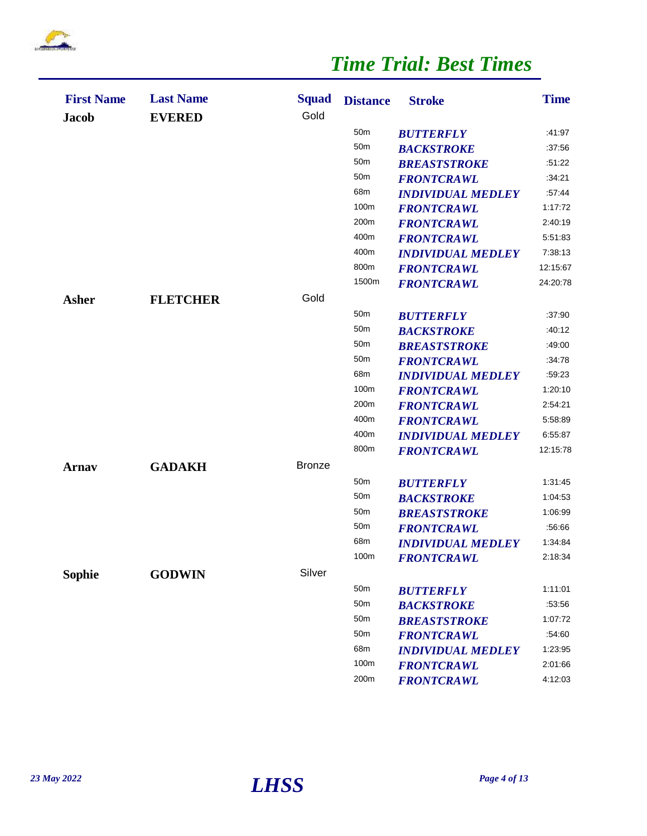

| <b>First Name</b><br><b>Jacob</b> | <b>Last Name</b><br><b>EVERED</b> | <b>Squad</b><br>Gold | <b>Distance</b> | <b>Stroke</b>            | <b>Time</b> |
|-----------------------------------|-----------------------------------|----------------------|-----------------|--------------------------|-------------|
|                                   |                                   |                      | 50 <sub>m</sub> | <b>BUTTERFLY</b>         | :41.97      |
|                                   |                                   |                      | 50 <sub>m</sub> | <b>BACKSTROKE</b>        | :37.56      |
|                                   |                                   |                      | 50 <sub>m</sub> | <b>BREASTSTROKE</b>      | :51:22      |
|                                   |                                   |                      | 50 <sub>m</sub> | <b>FRONTCRAWL</b>        | :34.21      |
|                                   |                                   |                      | 68m             | <b>INDIVIDUAL MEDLEY</b> | :57:44      |
|                                   |                                   |                      | 100m            | <b>FRONTCRAWL</b>        | 1:17:72     |
|                                   |                                   |                      | 200m            | <b>FRONTCRAWL</b>        | 2:40:19     |
|                                   |                                   |                      | 400m            | <b>FRONTCRAWL</b>        | 5:51:83     |
|                                   |                                   |                      | 400m            | <b>INDIVIDUAL MEDLEY</b> | 7:38:13     |
|                                   |                                   |                      | 800m            | <b>FRONTCRAWL</b>        | 12:15:67    |
|                                   |                                   |                      | 1500m           | <b>FRONTCRAWL</b>        | 24:20:78    |
| <b>Asher</b>                      | <b>FLETCHER</b>                   | Gold                 |                 |                          |             |
|                                   |                                   |                      | 50 <sub>m</sub> | <b>BUTTERFLY</b>         | :37.90      |
|                                   |                                   |                      | 50 <sub>m</sub> | <b>BACKSTROKE</b>        | :40:12      |
|                                   |                                   |                      | 50 <sub>m</sub> | <b>BREASTSTROKE</b>      | :49:00      |
|                                   |                                   |                      | 50 <sub>m</sub> | <b>FRONTCRAWL</b>        | :34:78      |
|                                   |                                   |                      | 68m             | <b>INDIVIDUAL MEDLEY</b> | :59:23      |
|                                   |                                   |                      | 100m            | <b>FRONTCRAWL</b>        | 1:20:10     |
|                                   |                                   |                      | 200m            | <b>FRONTCRAWL</b>        | 2:54:21     |
|                                   |                                   |                      | 400m            | <b>FRONTCRAWL</b>        | 5:58:89     |
|                                   |                                   |                      | 400m            | <b>INDIVIDUAL MEDLEY</b> | 6:55:87     |
|                                   |                                   |                      | 800m            | <b>FRONTCRAWL</b>        | 12:15:78    |
| Arnav                             | <b>GADAKH</b>                     | <b>Bronze</b>        |                 |                          |             |
|                                   |                                   |                      | 50 <sub>m</sub> | <b>BUTTERFLY</b>         | 1:31:45     |
|                                   |                                   |                      | 50 <sub>m</sub> | <b>BACKSTROKE</b>        | 1:04:53     |
|                                   |                                   |                      | 50 <sub>m</sub> | <b>BREASTSTROKE</b>      | 1:06:99     |
|                                   |                                   |                      | 50 <sub>m</sub> | <b>FRONTCRAWL</b>        | :56:66      |
|                                   |                                   |                      | 68m             | <b>INDIVIDUAL MEDLEY</b> | 1:34:84     |
|                                   |                                   |                      | 100m            | <b>FRONTCRAWL</b>        | 2:18:34     |
| <b>Sophie</b>                     | <b>GODWIN</b>                     | Silver               |                 |                          |             |
|                                   |                                   |                      | 50 <sub>m</sub> | <b>BUTTERFLY</b>         | 1:11:01     |
|                                   |                                   |                      | 50 <sub>m</sub> | <b>BACKSTROKE</b>        | :53:56      |
|                                   |                                   |                      | 50m             | <b>BREASTSTROKE</b>      | 1:07:72     |
|                                   |                                   |                      | 50 <sub>m</sub> | <b>FRONTCRAWL</b>        | :54:60      |
|                                   |                                   |                      | 68m             | <b>INDIVIDUAL MEDLEY</b> | 1:23:95     |
|                                   |                                   |                      | 100m            | <b>FRONTCRAWL</b>        | 2:01:66     |
|                                   |                                   |                      | 200m            | <b>FRONTCRAWL</b>        | 4:12:03     |

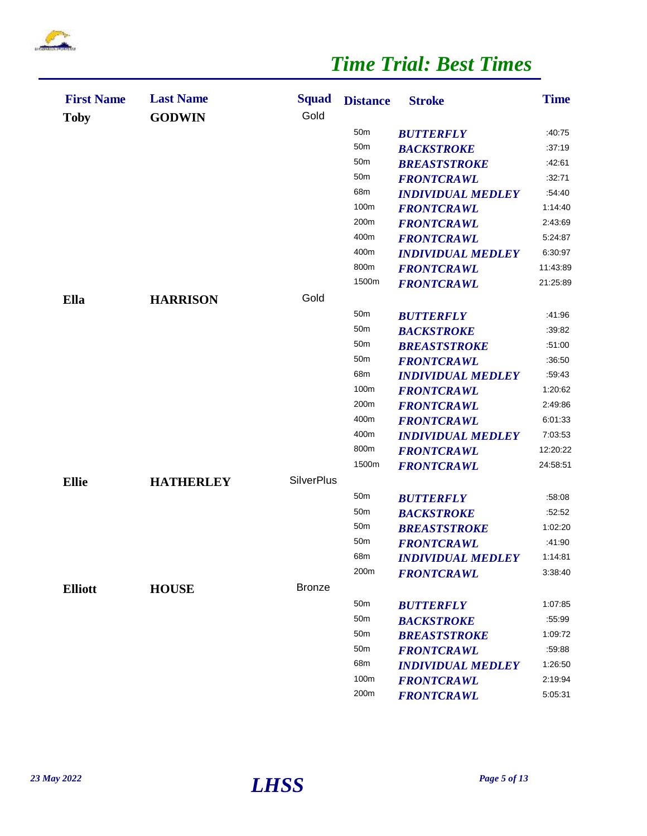

| <b>First Name</b><br><b>Toby</b> | <b>Last Name</b><br><b>GODWIN</b> | <b>Squad</b><br>Gold | <b>Distance</b> | <b>Stroke</b>            | <b>Time</b> |
|----------------------------------|-----------------------------------|----------------------|-----------------|--------------------------|-------------|
|                                  |                                   |                      | 50m             | <b>BUTTERFLY</b>         | :40.75      |
|                                  |                                   |                      | 50m             | <b>BACKSTROKE</b>        | :37:19      |
|                                  |                                   |                      | 50 <sub>m</sub> | <b>BREASTSTROKE</b>      | :42:61      |
|                                  |                                   |                      | 50 <sub>m</sub> | <b>FRONTCRAWL</b>        | :32:71      |
|                                  |                                   |                      | 68m             | <b>INDIVIDUAL MEDLEY</b> | :54:40      |
|                                  |                                   |                      | 100m            | <b>FRONTCRAWL</b>        | 1:14:40     |
|                                  |                                   |                      | 200m            | <b>FRONTCRAWL</b>        | 2:43:69     |
|                                  |                                   |                      | 400m            | <b>FRONTCRAWL</b>        | 5:24:87     |
|                                  |                                   |                      | 400m            | <b>INDIVIDUAL MEDLEY</b> | 6:30:97     |
|                                  |                                   |                      | 800m            | <b>FRONTCRAWL</b>        | 11:43:89    |
|                                  |                                   |                      | 1500m           | <b>FRONTCRAWL</b>        | 21:25:89    |
| Ella                             | <b>HARRISON</b>                   | Gold                 |                 |                          |             |
|                                  |                                   |                      | 50 <sub>m</sub> | <b>BUTTERFLY</b>         | :41.96      |
|                                  |                                   |                      | 50 <sub>m</sub> | <b>BACKSTROKE</b>        | :39:82      |
|                                  |                                   |                      | 50 <sub>m</sub> | <b>BREASTSTROKE</b>      | :51:00      |
|                                  |                                   |                      | 50m             | <b>FRONTCRAWL</b>        | :36:50      |
|                                  |                                   |                      | 68m             | <b>INDIVIDUAL MEDLEY</b> | :59:43      |
|                                  |                                   |                      | 100m            | <b>FRONTCRAWL</b>        | 1:20:62     |
|                                  |                                   |                      | 200m            | <b>FRONTCRAWL</b>        | 2:49:86     |
|                                  |                                   |                      | 400m            | <b>FRONTCRAWL</b>        | 6:01:33     |
|                                  |                                   |                      | 400m            | <b>INDIVIDUAL MEDLEY</b> | 7:03:53     |
|                                  |                                   |                      | 800m            | <b>FRONTCRAWL</b>        | 12:20:22    |
|                                  |                                   |                      | 1500m           | <b>FRONTCRAWL</b>        | 24:58:51    |
| <b>Ellie</b>                     | <b>HATHERLEY</b>                  | <b>SilverPlus</b>    |                 |                          |             |
|                                  |                                   |                      | 50 <sub>m</sub> | <b>BUTTERFLY</b>         | :58:08      |
|                                  |                                   |                      | 50m             | <b>BACKSTROKE</b>        | :52:52      |
|                                  |                                   |                      | 50m             | <b>BREASTSTROKE</b>      | 1:02:20     |
|                                  |                                   |                      | 50m             | <b>FRONTCRAWL</b>        | :41:90      |
|                                  |                                   |                      | 68m             | <b>INDIVIDUAL MEDLEY</b> | 1:14:81     |
|                                  |                                   |                      | 200m            | <b>FRONTCRAWL</b>        | 3:38:40     |
| <b>Elliott</b>                   | <b>HOUSE</b>                      | <b>Bronze</b>        |                 |                          |             |
|                                  |                                   |                      | 50 <sub>m</sub> | <b>BUTTERFLY</b>         | 1:07:85     |
|                                  |                                   |                      | 50 <sub>m</sub> | <b>BACKSTROKE</b>        | :55:99      |
|                                  |                                   |                      | 50 <sub>m</sub> | <b>BREASTSTROKE</b>      | 1:09:72     |
|                                  |                                   |                      | 50 <sub>m</sub> | <b>FRONTCRAWL</b>        | :59:88      |
|                                  |                                   |                      | 68m             | <b>INDIVIDUAL MEDLEY</b> | 1:26:50     |
|                                  |                                   |                      | 100m            | <b>FRONTCRAWL</b>        | 2:19:94     |
|                                  |                                   |                      | 200m            | <b>FRONTCRAWL</b>        | 5:05:31     |

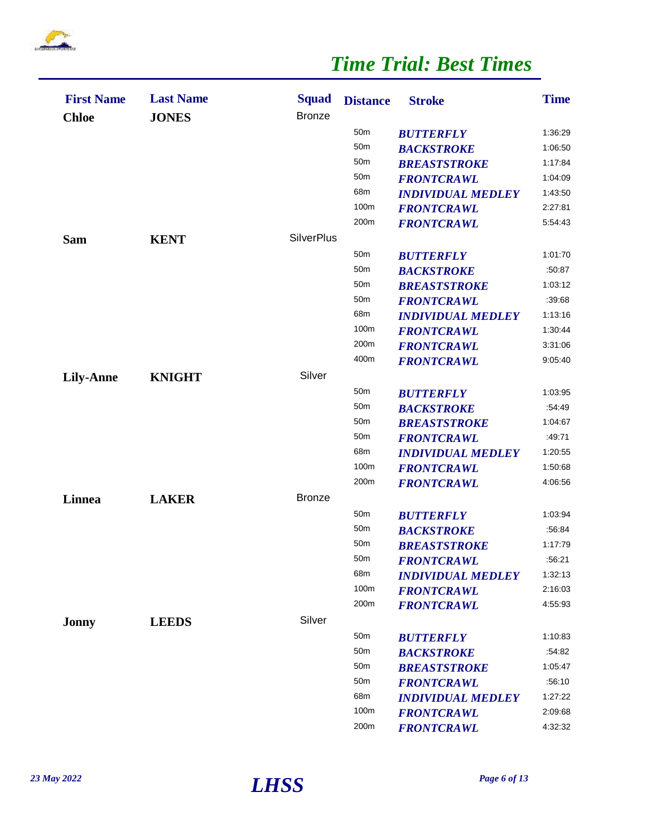

| <b>First Name</b><br><b>Chloe</b> | <b>Last Name</b><br><b>JONES</b> | <b>Squad</b><br><b>Bronze</b> | <b>Distance</b> | <b>Stroke</b>            | <b>Time</b> |
|-----------------------------------|----------------------------------|-------------------------------|-----------------|--------------------------|-------------|
|                                   |                                  |                               | 50 <sub>m</sub> | <b>BUTTERFLY</b>         | 1:36:29     |
|                                   |                                  |                               | 50 <sub>m</sub> | <b>BACKSTROKE</b>        | 1:06:50     |
|                                   |                                  |                               | 50 <sub>m</sub> | <b>BREASTSTROKE</b>      | 1:17:84     |
|                                   |                                  |                               | 50 <sub>m</sub> | <b>FRONTCRAWL</b>        | 1:04:09     |
|                                   |                                  |                               | 68m             | <b>INDIVIDUAL MEDLEY</b> | 1:43:50     |
|                                   |                                  |                               | 100m            | <b>FRONTCRAWL</b>        | 2:27:81     |
|                                   |                                  |                               | 200m            | <b>FRONTCRAWL</b>        | 5:54:43     |
| <b>Sam</b>                        | <b>KENT</b>                      | <b>SilverPlus</b>             |                 |                          |             |
|                                   |                                  |                               | 50 <sub>m</sub> | <b>BUTTERFLY</b>         | 1:01:70     |
|                                   |                                  |                               | 50 <sub>m</sub> | <b>BACKSTROKE</b>        | :50:87      |
|                                   |                                  |                               | 50 <sub>m</sub> | <b>BREASTSTROKE</b>      | 1:03:12     |
|                                   |                                  |                               | 50 <sub>m</sub> | <b>FRONTCRAWL</b>        | :39:68      |
|                                   |                                  |                               | 68m             | <b>INDIVIDUAL MEDLEY</b> | 1:13:16     |
|                                   |                                  |                               | 100m            | <b>FRONTCRAWL</b>        | 1:30:44     |
|                                   |                                  |                               | 200m            | <b>FRONTCRAWL</b>        | 3:31:06     |
|                                   |                                  |                               | 400m            | <b>FRONTCRAWL</b>        | 9:05:40     |
| <b>Lily-Anne</b>                  | <b>KNIGHT</b>                    | Silver                        |                 |                          |             |
|                                   |                                  |                               | 50 <sub>m</sub> | <b>BUTTERFLY</b>         | 1:03:95     |
|                                   |                                  |                               | 50 <sub>m</sub> | <b>BACKSTROKE</b>        | :54:49      |
|                                   |                                  |                               | 50 <sub>m</sub> | <b>BREASTSTROKE</b>      | 1:04:67     |
|                                   |                                  |                               | 50 <sub>m</sub> | <b>FRONTCRAWL</b>        | :49:71      |
|                                   |                                  |                               | 68m             | <b>INDIVIDUAL MEDLEY</b> | 1:20:55     |
|                                   |                                  |                               | 100m            | <b>FRONTCRAWL</b>        | 1:50:68     |
|                                   |                                  |                               | 200m            | <b>FRONTCRAWL</b>        | 4:06:56     |
| Linnea                            | <b>LAKER</b>                     | <b>Bronze</b>                 |                 |                          |             |
|                                   |                                  |                               | 50 <sub>m</sub> | <b>BUTTERFLY</b>         | 1:03:94     |
|                                   |                                  |                               | 50 <sub>m</sub> | <b>BACKSTROKE</b>        | :56:84      |
|                                   |                                  |                               | 50 <sub>m</sub> | <b>BREASTSTROKE</b>      | 1:17:79     |
|                                   |                                  |                               | 50m             | <b>FRONTCRAWL</b>        | :56:21      |
|                                   |                                  |                               | 68m             | <b>INDIVIDUAL MEDLEY</b> | 1:32:13     |
|                                   |                                  |                               | 100m            | <b>FRONTCRAWL</b>        | 2:16:03     |
|                                   |                                  |                               | 200m            | <b>FRONTCRAWL</b>        | 4:55:93     |
| Jonny                             | <b>LEEDS</b>                     | Silver                        |                 |                          |             |
|                                   |                                  |                               | 50 <sub>m</sub> | <b>BUTTERFLY</b>         | 1:10:83     |
|                                   |                                  |                               | 50 <sub>m</sub> | <b>BACKSTROKE</b>        | :54:82      |
|                                   |                                  |                               | 50 <sub>m</sub> | <b>BREASTSTROKE</b>      | 1:05:47     |
|                                   |                                  |                               | 50 <sub>m</sub> | <b>FRONTCRAWL</b>        | :56:10      |
|                                   |                                  |                               | 68m             | <b>INDIVIDUAL MEDLEY</b> | 1:27:22     |
|                                   |                                  |                               | 100m            | <b>FRONTCRAWL</b>        | 2:09:68     |
|                                   |                                  |                               | 200m            | <b>FRONTCRAWL</b>        | 4:32:32     |

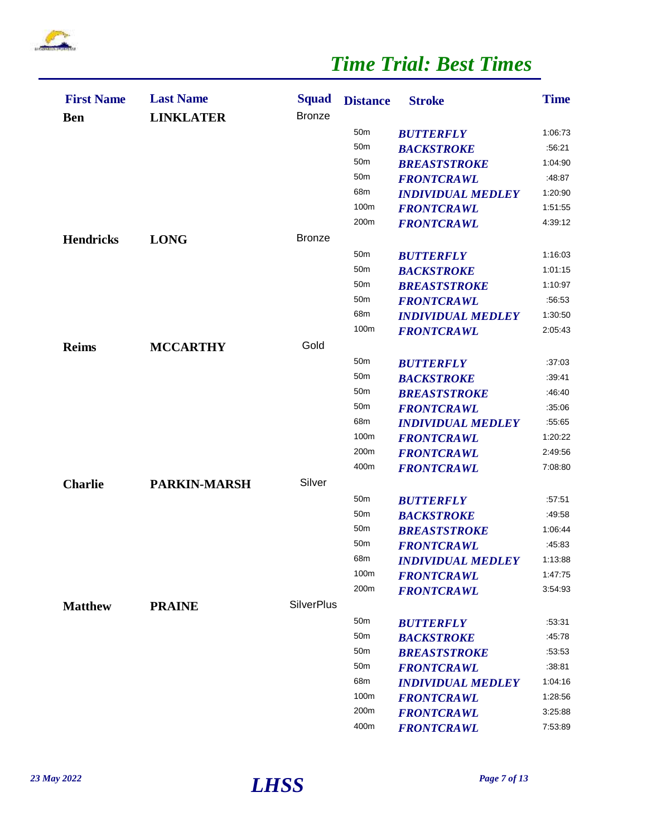

| <b>First Name</b><br><b>Ben</b> | <b>Last Name</b><br><b>LINKLATER</b> | <b>Squad</b><br><b>Bronze</b> | <b>Distance</b> | <b>Stroke</b>            | <b>Time</b> |
|---------------------------------|--------------------------------------|-------------------------------|-----------------|--------------------------|-------------|
|                                 |                                      |                               | 50 <sub>m</sub> | <b>BUTTERFLY</b>         | 1:06:73     |
|                                 |                                      |                               | 50 <sub>m</sub> | <b>BACKSTROKE</b>        | :56:21      |
|                                 |                                      |                               | 50 <sub>m</sub> | <b>BREASTSTROKE</b>      | 1:04:90     |
|                                 |                                      |                               | 50 <sub>m</sub> | <b>FRONTCRAWL</b>        | :48:87      |
|                                 |                                      |                               | 68m             | <b>INDIVIDUAL MEDLEY</b> | 1:20:90     |
|                                 |                                      |                               | 100m            | <b>FRONTCRAWL</b>        | 1:51:55     |
|                                 |                                      |                               | 200m            | <b>FRONTCRAWL</b>        | 4:39:12     |
| <b>Hendricks</b>                | <b>LONG</b>                          | <b>Bronze</b>                 |                 |                          |             |
|                                 |                                      |                               | 50 <sub>m</sub> | <b>BUTTERFLY</b>         | 1:16:03     |
|                                 |                                      |                               | 50 <sub>m</sub> | <b>BACKSTROKE</b>        | 1:01:15     |
|                                 |                                      |                               | 50 <sub>m</sub> | <b>BREASTSTROKE</b>      | 1:10:97     |
|                                 |                                      |                               | 50 <sub>m</sub> | <b>FRONTCRAWL</b>        | :56:53      |
|                                 |                                      |                               | 68m             | <b>INDIVIDUAL MEDLEY</b> | 1:30:50     |
|                                 |                                      |                               | 100m            | <b>FRONTCRAWL</b>        | 2:05:43     |
| <b>Reims</b>                    | <b>MCCARTHY</b>                      | Gold                          |                 |                          |             |
|                                 |                                      |                               | 50 <sub>m</sub> | <b>BUTTERFLY</b>         | .37.03      |
|                                 |                                      |                               | 50 <sub>m</sub> | <b>BACKSTROKE</b>        | :39:41      |
|                                 |                                      |                               | 50 <sub>m</sub> | <b>BREASTSTROKE</b>      | :46:40      |
|                                 |                                      |                               | 50 <sub>m</sub> | <b>FRONTCRAWL</b>        | :35.06      |
|                                 |                                      |                               | 68m             | <b>INDIVIDUAL MEDLEY</b> | :55:65      |
|                                 |                                      |                               | 100m            | <b>FRONTCRAWL</b>        | 1:20:22     |
|                                 |                                      |                               | 200m            | <b>FRONTCRAWL</b>        | 2:49:56     |
|                                 |                                      |                               | 400m            | <b>FRONTCRAWL</b>        | 7:08:80     |
| <b>Charlie</b>                  | <b>PARKIN-MARSH</b>                  | Silver                        |                 |                          |             |
|                                 |                                      |                               | 50 <sub>m</sub> | <b>BUTTERFLY</b>         | :57:51      |
|                                 |                                      |                               | 50 <sub>m</sub> | <b>BACKSTROKE</b>        | :49:58      |
|                                 |                                      |                               | 50 <sub>m</sub> | <b>BREASTSTROKE</b>      | 1:06:44     |
|                                 |                                      |                               | 50 <sub>m</sub> | <b>FRONTCRAWL</b>        | :45:83      |
|                                 |                                      |                               | 68m             | <b>INDIVIDUAL MEDLEY</b> | 1:13:88     |
|                                 |                                      |                               | 100m            | <b>FRONTCRAWL</b>        | 1:47:75     |
|                                 |                                      |                               | 200m            | <b>FRONTCRAWL</b>        | 3:54:93     |
| <b>Matthew</b>                  | <b>PRAINE</b>                        | <b>SilverPlus</b>             |                 |                          |             |
|                                 |                                      |                               | 50 <sub>m</sub> | <b>BUTTERFLY</b>         | :53:31      |
|                                 |                                      |                               | 50 <sub>m</sub> | <b>BACKSTROKE</b>        | :45.78      |
|                                 |                                      |                               | 50 <sub>m</sub> | <b>BREASTSTROKE</b>      | :53:53      |
|                                 |                                      |                               | 50 <sub>m</sub> | <b>FRONTCRAWL</b>        | :38:81      |
|                                 |                                      |                               | 68m             | <b>INDIVIDUAL MEDLEY</b> | 1:04:16     |
|                                 |                                      |                               | 100m            | <b>FRONTCRAWL</b>        | 1:28:56     |
|                                 |                                      |                               | 200m            | <b>FRONTCRAWL</b>        | 3:25:88     |
|                                 |                                      |                               | 400m            | <b>FRONTCRAWL</b>        | 7:53:89     |

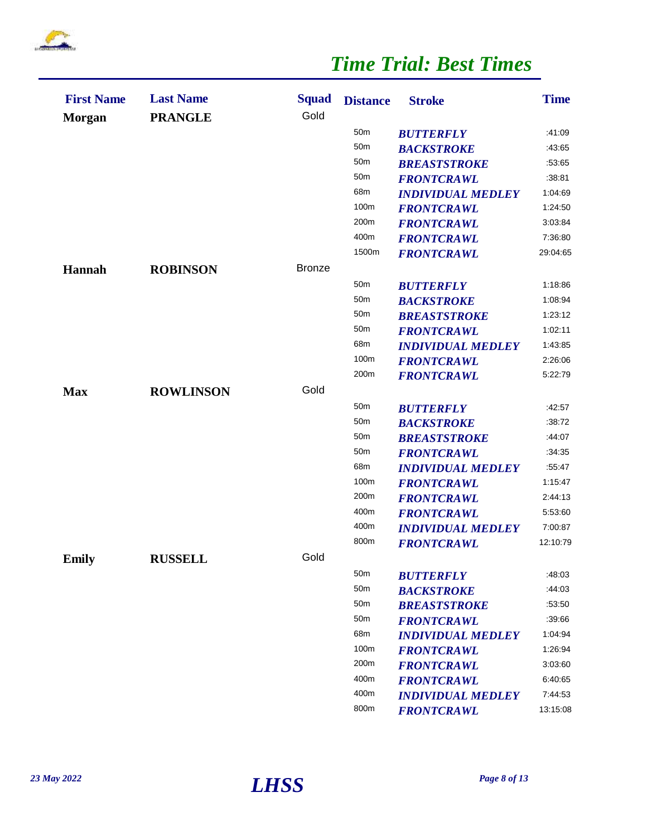

| <b>First Name</b><br><b>Morgan</b> | <b>Last Name</b><br><b>PRANGLE</b> | <b>Squad</b><br>Gold | <b>Distance</b> | <b>Stroke</b>            | <b>Time</b> |
|------------------------------------|------------------------------------|----------------------|-----------------|--------------------------|-------------|
|                                    |                                    |                      | 50 <sub>m</sub> | <b>BUTTERFLY</b>         | :41:09      |
|                                    |                                    |                      | 50 <sub>m</sub> | <b>BACKSTROKE</b>        | :43:65      |
|                                    |                                    |                      | 50 <sub>m</sub> | <b>BREASTSTROKE</b>      | :53:65      |
|                                    |                                    |                      | 50 <sub>m</sub> | <b>FRONTCRAWL</b>        | :38.81      |
|                                    |                                    |                      | 68m             | <b>INDIVIDUAL MEDLEY</b> | 1:04:69     |
|                                    |                                    |                      | 100m            | <b>FRONTCRAWL</b>        | 1:24:50     |
|                                    |                                    |                      | 200m            | <b>FRONTCRAWL</b>        | 3:03:84     |
|                                    |                                    |                      | 400m            | <b>FRONTCRAWL</b>        | 7:36:80     |
|                                    |                                    |                      | 1500m           | <b>FRONTCRAWL</b>        | 29:04:65    |
| <b>Hannah</b>                      | <b>ROBINSON</b>                    | <b>Bronze</b>        |                 |                          |             |
|                                    |                                    |                      | 50 <sub>m</sub> | <b>BUTTERFLY</b>         | 1:18:86     |
|                                    |                                    |                      | 50 <sub>m</sub> | <b>BACKSTROKE</b>        | 1:08:94     |
|                                    |                                    |                      | 50 <sub>m</sub> | <b>BREASTSTROKE</b>      | 1:23:12     |
|                                    |                                    |                      | 50 <sub>m</sub> | <b>FRONTCRAWL</b>        | 1:02:11     |
|                                    |                                    |                      | 68m             | <b>INDIVIDUAL MEDLEY</b> | 1:43:85     |
|                                    |                                    |                      | 100m            | <b>FRONTCRAWL</b>        | 2:26:06     |
|                                    |                                    |                      | 200m            | <b>FRONTCRAWL</b>        | 5:22:79     |
| <b>Max</b>                         | <b>ROWLINSON</b>                   | Gold                 |                 |                          |             |
|                                    |                                    |                      | 50 <sub>m</sub> | <b>BUTTERFLY</b>         | :42:57      |
|                                    |                                    |                      | 50 <sub>m</sub> | <b>BACKSTROKE</b>        | :38:72      |
|                                    |                                    |                      | 50 <sub>m</sub> | <b>BREASTSTROKE</b>      | :44:07      |
|                                    |                                    |                      | 50 <sub>m</sub> | <b>FRONTCRAWL</b>        | :34:35      |
|                                    |                                    |                      | 68m             | <b>INDIVIDUAL MEDLEY</b> | :55:47      |
|                                    |                                    |                      | 100m            | <b>FRONTCRAWL</b>        | 1:15:47     |
|                                    |                                    |                      | 200m            | <b>FRONTCRAWL</b>        | 2:44:13     |
|                                    |                                    |                      | 400m            | <b>FRONTCRAWL</b>        | 5:53:60     |
|                                    |                                    |                      | 400m            | <b>INDIVIDUAL MEDLEY</b> | 7:00:87     |
|                                    |                                    |                      | 800m            | <b>FRONTCRAWL</b>        | 12:10:79    |
| Emily                              | <b>RUSSELL</b>                     | Gold                 |                 |                          |             |
|                                    |                                    |                      | 50 <sub>m</sub> | <b>BUTTERFLY</b>         | :48:03      |
|                                    |                                    |                      | 50 <sub>m</sub> | <b>BACKSTROKE</b>        | :44:03      |
|                                    |                                    |                      | 50 <sub>m</sub> | <b>BREASTSTROKE</b>      | :53:50      |
|                                    |                                    |                      | 50 <sub>m</sub> | <b>FRONTCRAWL</b>        | :39:66      |
|                                    |                                    |                      | 68m             | <b>INDIVIDUAL MEDLEY</b> | 1:04:94     |
|                                    |                                    |                      | 100m            | <b>FRONTCRAWL</b>        | 1:26:94     |
|                                    |                                    |                      | 200m            | <b>FRONTCRAWL</b>        | 3:03:60     |
|                                    |                                    |                      | 400m            | <b>FRONTCRAWL</b>        | 6:40:65     |
|                                    |                                    |                      | 400m            | <b>INDIVIDUAL MEDLEY</b> | 7:44:53     |
|                                    |                                    |                      | 800m            | <b>FRONTCRAWL</b>        | 13:15:08    |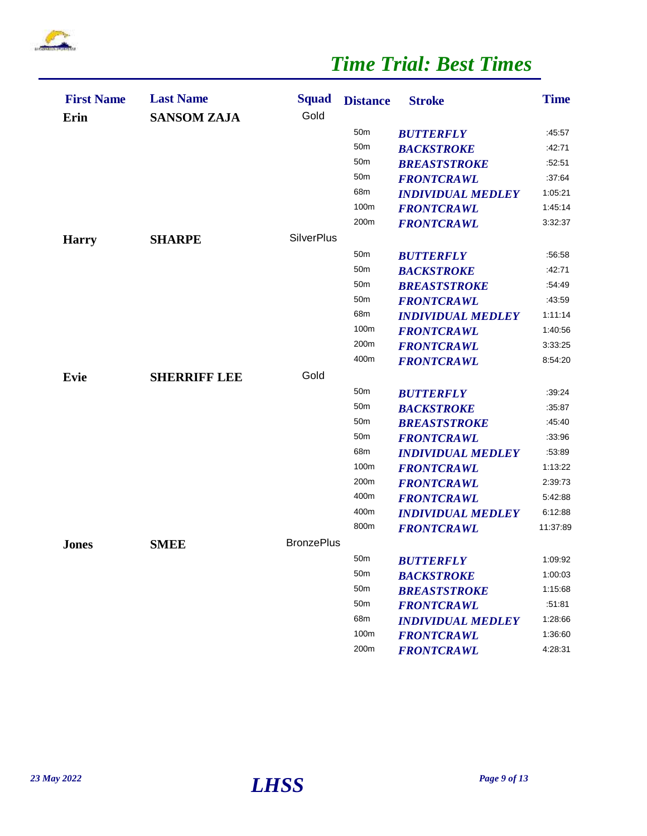

| <b>Squad</b><br><b>Last Name</b><br><b>First Name</b><br><b>Distance</b><br>Gold<br>Erin<br><b>SANSOM ZAJA</b> | <b>Time</b><br><b>Stroke</b>        |
|----------------------------------------------------------------------------------------------------------------|-------------------------------------|
| 50 <sub>m</sub>                                                                                                | :45:57<br><b>BUTTERFLY</b>          |
| 50 <sub>m</sub>                                                                                                | <b>BACKSTROKE</b><br>:42:71         |
| 50 <sub>m</sub>                                                                                                | <b>BREASTSTROKE</b><br>:52:51       |
| 50 <sub>m</sub>                                                                                                | :37.64<br><b>FRONTCRAWL</b>         |
| 68m                                                                                                            | 1:05:21<br><b>INDIVIDUAL MEDLEY</b> |
| 100m                                                                                                           | 1:45:14<br><b>FRONTCRAWL</b>        |
| 200m                                                                                                           | 3:32:37<br><b>FRONTCRAWL</b>        |
| <b>SilverPlus</b><br><b>SHARPE</b><br><b>Harry</b>                                                             |                                     |
| 50 <sub>m</sub>                                                                                                | :56:58<br><b>BUTTERFLY</b>          |
| 50 <sub>m</sub>                                                                                                | <b>BACKSTROKE</b><br>:42:71         |
| 50 <sub>m</sub>                                                                                                | :54:49<br><b>BREASTSTROKE</b>       |
| 50 <sub>m</sub>                                                                                                | <b>FRONTCRAWL</b><br>:43:59         |
| 68m                                                                                                            | 1:11:14<br><b>INDIVIDUAL MEDLEY</b> |
| 100m                                                                                                           | 1:40:56<br><b>FRONTCRAWL</b>        |
| 200m                                                                                                           | 3:33:25<br><b>FRONTCRAWL</b>        |
| 400m                                                                                                           | 8:54:20<br><b>FRONTCRAWL</b>        |
| Gold<br><b>SHERRIFF LEE</b><br>Evie                                                                            |                                     |
| 50 <sub>m</sub>                                                                                                | :39.24<br><b>BUTTERFLY</b>          |
| 50 <sub>m</sub>                                                                                                | :35.87<br><b>BACKSTROKE</b>         |
| 50 <sub>m</sub>                                                                                                | <b>BREASTSTROKE</b><br>:45:40       |
| 50 <sub>m</sub>                                                                                                | :33:96<br><b>FRONTCRAWL</b>         |
| 68m                                                                                                            | :53:89<br><b>INDIVIDUAL MEDLEY</b>  |
| 100m                                                                                                           | 1:13:22<br><b>FRONTCRAWL</b>        |
| 200m                                                                                                           | 2:39:73<br><b>FRONTCRAWL</b>        |
| 400m                                                                                                           | 5:42:88<br><b>FRONTCRAWL</b>        |
| 400m                                                                                                           | 6:12:88<br><b>INDIVIDUAL MEDLEY</b> |
| 800m                                                                                                           | 11:37:89<br><b>FRONTCRAWL</b>       |
| <b>BronzePlus</b><br><b>SMEE</b><br><b>Jones</b>                                                               |                                     |
| 50m                                                                                                            | 1:09:92<br><b>BUTTERFLY</b>         |
| 50 <sub>m</sub>                                                                                                | <b>BACKSTROKE</b><br>1:00:03        |
| 50m                                                                                                            | 1:15:68<br><b>BREASTSTROKE</b>      |
| 50 <sub>m</sub>                                                                                                | :51.81<br><b>FRONTCRAWL</b>         |
| 68m                                                                                                            | 1:28:66<br><b>INDIVIDUAL MEDLEY</b> |
| 100m                                                                                                           | 1:36:60<br><b>FRONTCRAWL</b>        |
| 200m                                                                                                           |                                     |

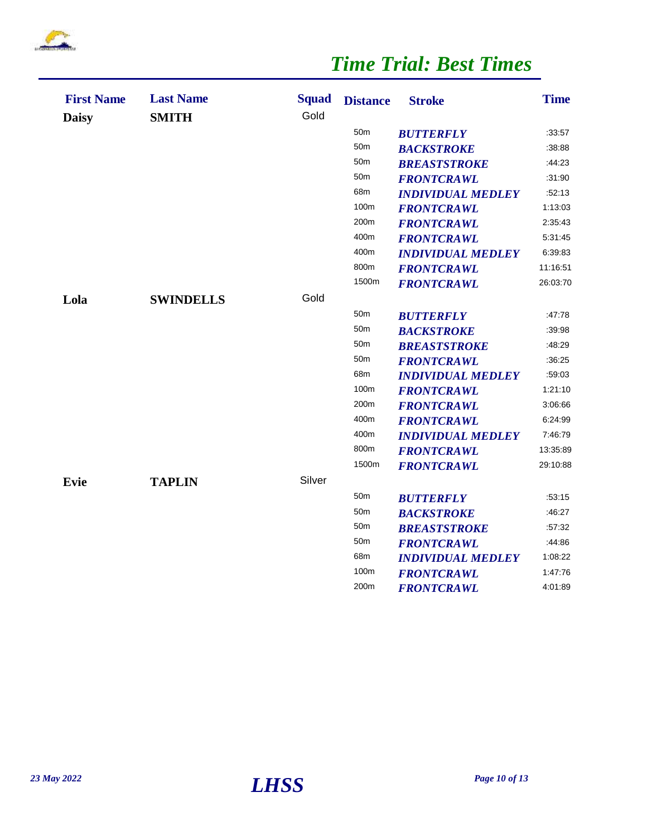

| <b>First Name</b><br><b>Daisy</b> | <b>Last Name</b><br><b>SMITH</b> | <b>Squad</b><br>Gold | <b>Distance</b> | <b>Stroke</b>            | <b>Time</b> |
|-----------------------------------|----------------------------------|----------------------|-----------------|--------------------------|-------------|
|                                   |                                  |                      | 50 <sub>m</sub> | <b>BUTTERFLY</b>         | :33:57      |
|                                   |                                  |                      | 50 <sub>m</sub> | <b>BACKSTROKE</b>        | :38:88      |
|                                   |                                  |                      | 50 <sub>m</sub> | <b>BREASTSTROKE</b>      | :44.23      |
|                                   |                                  |                      | 50 <sub>m</sub> | <b>FRONTCRAWL</b>        | :31:90      |
|                                   |                                  |                      | 68m             | <b>INDIVIDUAL MEDLEY</b> | :52:13      |
|                                   |                                  |                      | 100m            | <b>FRONTCRAWL</b>        | 1:13:03     |
|                                   |                                  |                      | 200m            | <b>FRONTCRAWL</b>        | 2:35:43     |
|                                   |                                  |                      | 400m            | <b>FRONTCRAWL</b>        | 5:31:45     |
|                                   |                                  |                      | 400m            | <b>INDIVIDUAL MEDLEY</b> | 6:39:83     |
|                                   |                                  |                      | 800m            | <b>FRONTCRAWL</b>        | 11:16:51    |
|                                   |                                  |                      | 1500m           | <b>FRONTCRAWL</b>        | 26:03:70    |
| Lola                              | <b>SWINDELLS</b>                 | Gold                 |                 |                          |             |
|                                   |                                  |                      | 50m             | <b>BUTTERFLY</b>         | :47:78      |
|                                   |                                  |                      | 50 <sub>m</sub> | <b>BACKSTROKE</b>        | :39:98      |
|                                   |                                  |                      | 50 <sub>m</sub> | <b>BREASTSTROKE</b>      | :48:29      |
|                                   |                                  |                      | 50 <sub>m</sub> | <b>FRONTCRAWL</b>        | :36:25      |
|                                   |                                  |                      | 68m             | <b>INDIVIDUAL MEDLEY</b> | :59:03      |
|                                   |                                  |                      | 100m            | <b>FRONTCRAWL</b>        | 1:21:10     |
|                                   |                                  |                      | 200m            | <b>FRONTCRAWL</b>        | 3:06:66     |
|                                   |                                  |                      | 400m            | <b>FRONTCRAWL</b>        | 6:24:99     |
|                                   |                                  |                      | 400m            | <b>INDIVIDUAL MEDLEY</b> | 7:46:79     |
|                                   |                                  |                      | 800m            | <b>FRONTCRAWL</b>        | 13:35:89    |
|                                   |                                  |                      | 1500m           | <b>FRONTCRAWL</b>        | 29:10:88    |
| <b>Evie</b>                       | <b>TAPLIN</b>                    | Silver               |                 |                          |             |
|                                   |                                  |                      | 50 <sub>m</sub> | <b>BUTTERFLY</b>         | :53:15      |
|                                   |                                  |                      | 50 <sub>m</sub> | <b>BACKSTROKE</b>        | :46:27      |
|                                   |                                  |                      | 50 <sub>m</sub> | <b>BREASTSTROKE</b>      | :57:32      |
|                                   |                                  |                      | 50m             | <b>FRONTCRAWL</b>        | :44:86      |
|                                   |                                  |                      | 68m             | <b>INDIVIDUAL MEDLEY</b> | 1:08:22     |
|                                   |                                  |                      | 100m            | <b>FRONTCRAWL</b>        | 1:47:76     |
|                                   |                                  |                      | 200m            | <b>FRONTCRAWL</b>        | 4:01:89     |

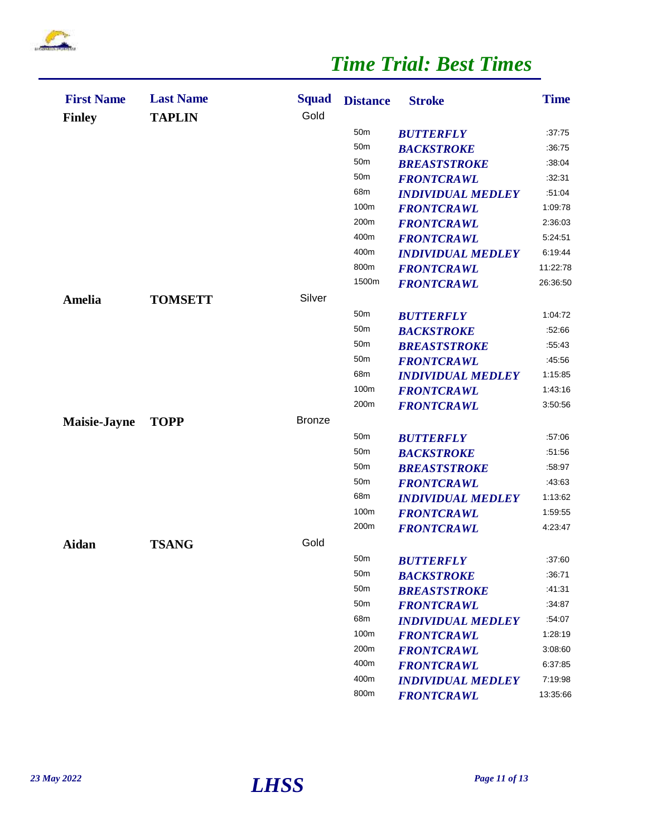

| <b>First Name</b><br><b>Finley</b> | <b>Last Name</b><br><b>TAPLIN</b> | <b>Squad</b><br>Gold | <b>Distance</b> | <b>Stroke</b>            | <b>Time</b> |
|------------------------------------|-----------------------------------|----------------------|-----------------|--------------------------|-------------|
|                                    |                                   |                      | 50 <sub>m</sub> | <b>BUTTERFLY</b>         | :37:75      |
|                                    |                                   |                      | 50 <sub>m</sub> | <b>BACKSTROKE</b>        | :36:75      |
|                                    |                                   |                      | 50 <sub>m</sub> | <b>BREASTSTROKE</b>      | :38:04      |
|                                    |                                   |                      | 50 <sub>m</sub> | <b>FRONTCRAWL</b>        | :32:31      |
|                                    |                                   |                      | 68m             | <b>INDIVIDUAL MEDLEY</b> | :51:04      |
|                                    |                                   |                      | 100m            | <b>FRONTCRAWL</b>        | 1:09:78     |
|                                    |                                   |                      | 200m            | <b>FRONTCRAWL</b>        | 2:36:03     |
|                                    |                                   |                      | 400m            | <b>FRONTCRAWL</b>        | 5:24:51     |
|                                    |                                   |                      | 400m            | <b>INDIVIDUAL MEDLEY</b> | 6:19:44     |
|                                    |                                   |                      | 800m            | <b>FRONTCRAWL</b>        | 11:22:78    |
|                                    |                                   |                      | 1500m           | <b>FRONTCRAWL</b>        | 26:36:50    |
| Amelia                             | <b>TOMSETT</b>                    | Silver               |                 |                          |             |
|                                    |                                   |                      | 50 <sub>m</sub> | <b>BUTTERFLY</b>         | 1:04:72     |
|                                    |                                   |                      | 50 <sub>m</sub> | <b>BACKSTROKE</b>        | :52:66      |
|                                    |                                   |                      | 50 <sub>m</sub> | <b>BREASTSTROKE</b>      | :55.43      |
|                                    |                                   |                      | 50 <sub>m</sub> | <b>FRONTCRAWL</b>        | :45:56      |
|                                    |                                   |                      | 68m             | <b>INDIVIDUAL MEDLEY</b> | 1:15:85     |
|                                    |                                   |                      | 100m            | <b>FRONTCRAWL</b>        | 1:43:16     |
|                                    |                                   |                      | 200m            | <b>FRONTCRAWL</b>        | 3:50:56     |
| <b>Maisie-Jayne</b>                | <b>TOPP</b>                       | <b>Bronze</b>        |                 |                          |             |
|                                    |                                   |                      | 50 <sub>m</sub> | <b>BUTTERFLY</b>         | :57:06      |
|                                    |                                   |                      | 50 <sub>m</sub> | <b>BACKSTROKE</b>        | :51:56      |
|                                    |                                   |                      | 50 <sub>m</sub> | <b>BREASTSTROKE</b>      | :58:97      |
|                                    |                                   |                      | 50 <sub>m</sub> | <b>FRONTCRAWL</b>        | :43:63      |
|                                    |                                   |                      | 68m             | <b>INDIVIDUAL MEDLEY</b> | 1:13:62     |
|                                    |                                   |                      | 100m            | <b>FRONTCRAWL</b>        | 1:59:55     |
|                                    |                                   |                      | 200m            | <b>FRONTCRAWL</b>        | 4:23:47     |
| Aidan                              | <b>TSANG</b>                      | Gold                 |                 |                          |             |
|                                    |                                   |                      | 50m             | <b>BUTTERFLY</b>         | :37:60      |
|                                    |                                   |                      | 50 <sub>m</sub> | <b>BACKSTROKE</b>        | :36.71      |
|                                    |                                   |                      | 50 <sub>m</sub> | <b>BREASTSTROKE</b>      | :41:31      |
|                                    |                                   |                      | 50 <sub>m</sub> | <b>FRONTCRAWL</b>        | :34:87      |
|                                    |                                   |                      | 68m             | <b>INDIVIDUAL MEDLEY</b> | :54:07      |
|                                    |                                   |                      | 100m            | <b>FRONTCRAWL</b>        | 1:28:19     |
|                                    |                                   |                      | 200m            | <b>FRONTCRAWL</b>        | 3:08:60     |
|                                    |                                   |                      | 400m            | <b>FRONTCRAWL</b>        | 6:37:85     |
|                                    |                                   |                      | 400m            | <b>INDIVIDUAL MEDLEY</b> | 7:19:98     |
|                                    |                                   |                      | 800m            | <b>FRONTCRAWL</b>        | 13:35:66    |

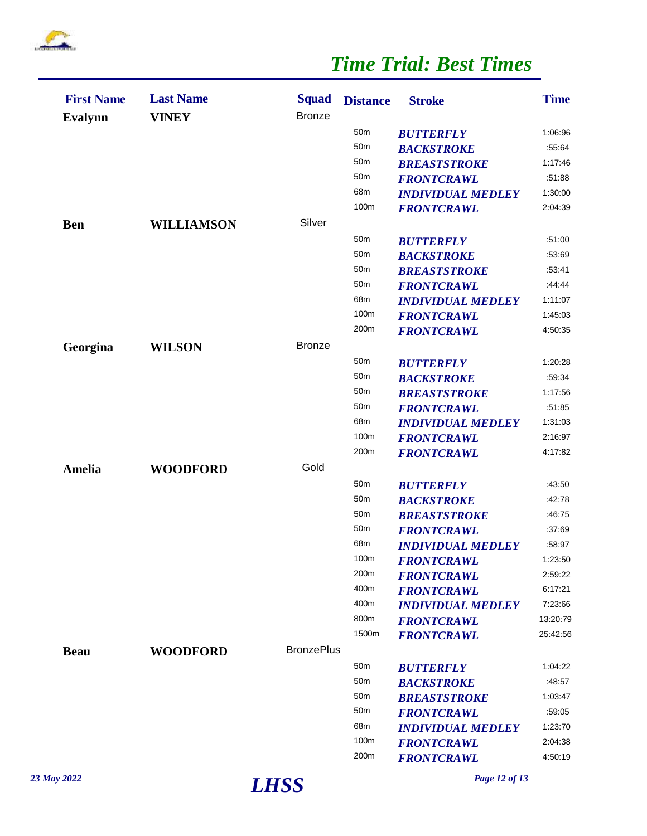

| <b>First Name</b><br><b>Evalynn</b> | <b>Last Name</b><br><b>VINEY</b> | <b>Squad</b><br><b>Bronze</b> | <b>Distance</b> | <b>Stroke</b>            | <b>Time</b> |
|-------------------------------------|----------------------------------|-------------------------------|-----------------|--------------------------|-------------|
|                                     |                                  |                               | 50 <sub>m</sub> | <b>BUTTERFLY</b>         | 1:06:96     |
|                                     |                                  |                               | 50 <sub>m</sub> | <b>BACKSTROKE</b>        | :55:64      |
|                                     |                                  |                               | 50 <sub>m</sub> | <b>BREASTSTROKE</b>      | 1:17:46     |
|                                     |                                  |                               | 50 <sub>m</sub> | <b>FRONTCRAWL</b>        | :51:88      |
|                                     |                                  |                               | 68m             | <b>INDIVIDUAL MEDLEY</b> | 1:30:00     |
|                                     |                                  |                               | 100m            | <b>FRONTCRAWL</b>        | 2:04:39     |
| <b>Ben</b>                          | <b>WILLIAMSON</b>                | Silver                        |                 |                          |             |
|                                     |                                  |                               | 50 <sub>m</sub> | <b>BUTTERFLY</b>         | .51:00      |
|                                     |                                  |                               | 50 <sub>m</sub> | <b>BACKSTROKE</b>        | :53:69      |
|                                     |                                  |                               | 50 <sub>m</sub> | <b>BREASTSTROKE</b>      | :53:41      |
|                                     |                                  |                               | 50 <sub>m</sub> | <b>FRONTCRAWL</b>        | :44:44      |
|                                     |                                  |                               | 68m             | <b>INDIVIDUAL MEDLEY</b> | 1:11:07     |
|                                     |                                  |                               | 100m            | <b>FRONTCRAWL</b>        | 1:45:03     |
|                                     |                                  |                               | 200m            | <b>FRONTCRAWL</b>        | 4:50:35     |
| Georgina                            | <b>WILSON</b>                    | <b>Bronze</b>                 |                 |                          |             |
|                                     |                                  |                               | 50 <sub>m</sub> | <b>BUTTERFLY</b>         | 1:20:28     |
|                                     |                                  |                               | 50 <sub>m</sub> | <b>BACKSTROKE</b>        | :59:34      |
|                                     |                                  |                               | 50 <sub>m</sub> | <b>BREASTSTROKE</b>      | 1:17:56     |
|                                     |                                  |                               | 50 <sub>m</sub> | <b>FRONTCRAWL</b>        | :51:85      |
|                                     |                                  |                               | 68m             | <b>INDIVIDUAL MEDLEY</b> | 1:31:03     |
|                                     |                                  |                               | 100m            | <b>FRONTCRAWL</b>        | 2:16:97     |
|                                     |                                  |                               | 200m            | <b>FRONTCRAWL</b>        | 4:17:82     |
| Amelia                              | <b>WOODFORD</b>                  | Gold                          |                 |                          |             |
|                                     |                                  |                               | 50 <sub>m</sub> | <b>BUTTERFLY</b>         | :43:50      |
|                                     |                                  |                               | 50 <sub>m</sub> | <b>BACKSTROKE</b>        | :42:78      |
|                                     |                                  |                               | 50 <sub>m</sub> | <b>BREASTSTROKE</b>      | :46:75      |
|                                     |                                  |                               | 50 <sub>m</sub> | <b>FRONTCRAWL</b>        | :37:69      |
|                                     |                                  |                               | 68m             | <b>INDIVIDUAL MEDLEY</b> | :58:97      |
|                                     |                                  |                               | 100m            | <b>FRONTCRAWL</b>        | 1:23:50     |
|                                     |                                  |                               | 200m            | <b>FRONTCRAWL</b>        | 2:59:22     |
|                                     |                                  |                               | 400m            | <b>FRONTCRAWL</b>        | 6:17:21     |
|                                     |                                  |                               | 400m            | <b>INDIVIDUAL MEDLEY</b> | 7:23:66     |
|                                     |                                  |                               | 800m            | <b>FRONTCRAWL</b>        | 13:20:79    |
|                                     |                                  |                               | 1500m           | <b>FRONTCRAWL</b>        | 25:42:56    |
| <b>Beau</b>                         | <b>WOODFORD</b>                  | <b>BronzePlus</b>             |                 |                          |             |
|                                     |                                  |                               | 50 <sub>m</sub> | <b>BUTTERFLY</b>         | 1:04:22     |
|                                     |                                  |                               | 50 <sub>m</sub> | <b>BACKSTROKE</b>        | :48:57      |
|                                     |                                  |                               | 50 <sub>m</sub> | <b>BREASTSTROKE</b>      | 1:03:47     |
|                                     |                                  |                               | 50 <sub>m</sub> | <b>FRONTCRAWL</b>        | :59:05      |
|                                     |                                  |                               | 68m             | <b>INDIVIDUAL MEDLEY</b> | 1:23:70     |
|                                     |                                  |                               | 100m            | <b>FRONTCRAWL</b>        | 2:04:38     |
|                                     |                                  |                               | 200m            | <b>FRONTCRAWL</b>        | 4:50:19     |
|                                     |                                  |                               |                 |                          |             |